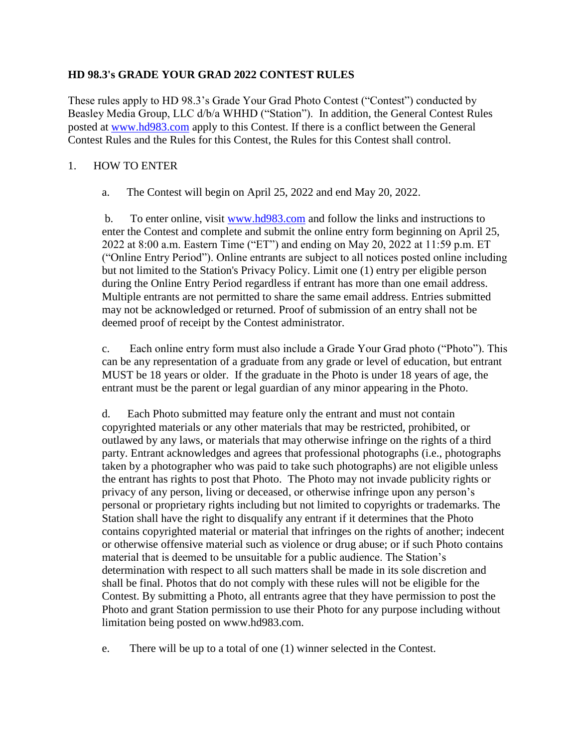## **HD 98.3's GRADE YOUR GRAD 2022 CONTEST RULES**

These rules apply to HD 98.3's Grade Your Grad Photo Contest ("Contest") conducted by Beasley Media Group, LLC d/b/a WHHD ("Station"). In addition, the General Contest Rules posted at [www.hd983.com](http://www.hd983.com/) apply to this Contest. If there is a conflict between the General Contest Rules and the Rules for this Contest, the Rules for this Contest shall control.

## 1. HOW TO ENTER

a. The Contest will begin on April 25, 2022 and end May 20, 2022.

b. To enter online, visit [www.hd983.com](http://www.hd983.com/) and follow the links and instructions to enter the Contest and complete and submit the online entry form beginning on April 25, 2022 at 8:00 a.m. Eastern Time ("ET") and ending on May 20, 2022 at 11:59 p.m. ET ("Online Entry Period"). Online entrants are subject to all notices posted online including but not limited to the Station's Privacy Policy. Limit one (1) entry per eligible person during the Online Entry Period regardless if entrant has more than one email address. Multiple entrants are not permitted to share the same email address. Entries submitted may not be acknowledged or returned. Proof of submission of an entry shall not be deemed proof of receipt by the Contest administrator.

c. Each online entry form must also include a Grade Your Grad photo ("Photo"). This can be any representation of a graduate from any grade or level of education, but entrant MUST be 18 years or older. If the graduate in the Photo is under 18 years of age, the entrant must be the parent or legal guardian of any minor appearing in the Photo.

d. Each Photo submitted may feature only the entrant and must not contain copyrighted materials or any other materials that may be restricted, prohibited, or outlawed by any laws, or materials that may otherwise infringe on the rights of a third party. Entrant acknowledges and agrees that professional photographs (i.e., photographs taken by a photographer who was paid to take such photographs) are not eligible unless the entrant has rights to post that Photo. The Photo may not invade publicity rights or privacy of any person, living or deceased, or otherwise infringe upon any person's personal or proprietary rights including but not limited to copyrights or trademarks. The Station shall have the right to disqualify any entrant if it determines that the Photo contains copyrighted material or material that infringes on the rights of another; indecent or otherwise offensive material such as violence or drug abuse; or if such Photo contains material that is deemed to be unsuitable for a public audience. The Station's determination with respect to all such matters shall be made in its sole discretion and shall be final. Photos that do not comply with these rules will not be eligible for the Contest. By submitting a Photo, all entrants agree that they have permission to post the Photo and grant Station permission to use their Photo for any purpose including without limitation being posted on www.hd983.com.

e. There will be up to a total of one (1) winner selected in the Contest.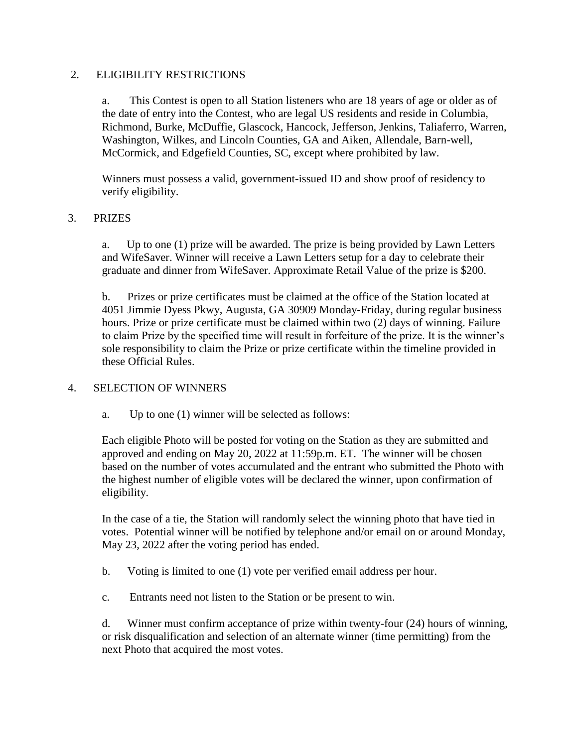### 2. ELIGIBILITY RESTRICTIONS

a. This Contest is open to all Station listeners who are 18 years of age or older as of the date of entry into the Contest, who are legal US residents and reside in Columbia, Richmond, Burke, McDuffie, Glascock, Hancock, Jefferson, Jenkins, Taliaferro, Warren, Washington, Wilkes, and Lincoln Counties, GA and Aiken, Allendale, Barn-well, McCormick, and Edgefield Counties, SC, except where prohibited by law.

Winners must possess a valid, government-issued ID and show proof of residency to verify eligibility.

# 3. PRIZES

a. Up to one (1) prize will be awarded. The prize is being provided by Lawn Letters and WifeSaver. Winner will receive a Lawn Letters setup for a day to celebrate their graduate and dinner from WifeSaver. Approximate Retail Value of the prize is \$200.

b. Prizes or prize certificates must be claimed at the office of the Station located at 4051 Jimmie Dyess Pkwy, Augusta, GA 30909 Monday-Friday, during regular business hours. Prize or prize certificate must be claimed within two (2) days of winning. Failure to claim Prize by the specified time will result in forfeiture of the prize. It is the winner's sole responsibility to claim the Prize or prize certificate within the timeline provided in these Official Rules.

#### 4. SELECTION OF WINNERS

a. Up to one (1) winner will be selected as follows:

Each eligible Photo will be posted for voting on the Station as they are submitted and approved and ending on May 20, 2022 at 11:59p.m. ET. The winner will be chosen based on the number of votes accumulated and the entrant who submitted the Photo with the highest number of eligible votes will be declared the winner, upon confirmation of eligibility.

In the case of a tie, the Station will randomly select the winning photo that have tied in votes. Potential winner will be notified by telephone and/or email on or around Monday, May 23, 2022 after the voting period has ended.

b. Voting is limited to one (1) vote per verified email address per hour.

c. Entrants need not listen to the Station or be present to win.

d. Winner must confirm acceptance of prize within twenty-four (24) hours of winning, or risk disqualification and selection of an alternate winner (time permitting) from the next Photo that acquired the most votes.